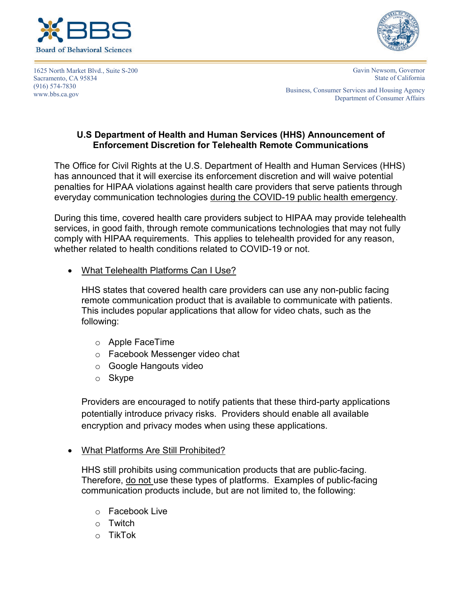





Gavin Newsom, Governor State of California

Business, Consumer Services and Housing Agency Department of Consumer Affairs

## **U.S Department of Health and Human Services (HHS) Announcement of Enforcement Discretion for Telehealth Remote Communications**

The Office for Civil Rights at the U.S. Department of Health and Human Services (HHS) has announced that it will exercise its enforcement discretion and will waive potential penalties for HIPAA violations against health care providers that serve patients through everyday communication technologies during the COVID-19 public health emergency.

During this time, covered health care providers subject to HIPAA may provide telehealth services, in good faith, through remote communications technologies that may not fully comply with HIPAA requirements. This applies to telehealth provided for any reason, whether related to health conditions related to COVID-19 or not.

• What Telehealth Platforms Can I Use?

HHS states that covered health care providers can use any non-public facing remote communication product that is available to communicate with patients. This includes popular applications that allow for video chats, such as the following:

- o Apple FaceTime
- o Facebook Messenger video chat
- o Google Hangouts video
- o Skype

Providers are encouraged to notify patients that these third-party applications potentially introduce privacy risks. Providers should enable all available encryption and privacy modes when using these applications.

## • What Platforms Are Still Prohibited?

HHS still prohibits using communication products that are public-facing. Therefore, do not use these types of platforms. Examples of public-facing communication products include, but are not limited to, the following:

- o Facebook Live
- o Twitch
- o TikTok